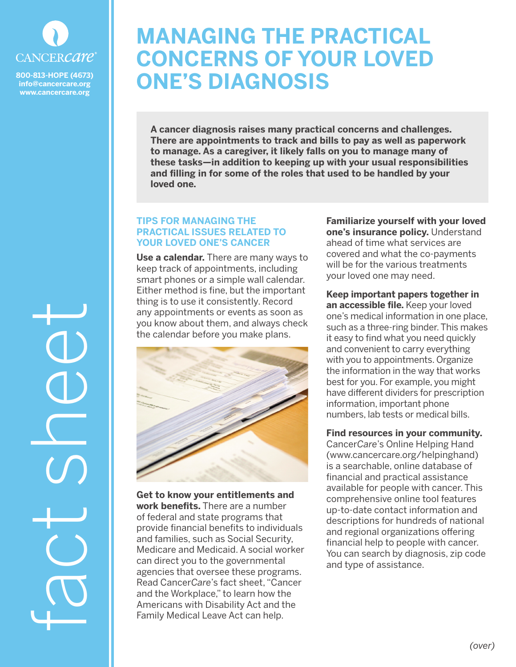

**info@cancercare.org www.cancercare.org**

fact sheet

# **MANAGING THE PRACTICAL CONCERNS OF YOUR LOVED BOO-813-HOPE (4673) ONE'S DIAGNOSIS**

**A cancer diagnosis raises many practical concerns and challenges. There are appointments to track and bills to pay as well as paperwork to manage. As a caregiver, it likely falls on you to manage many of these tasks—in addition to keeping up with your usual responsibilities and filling in for some of the roles that used to be handled by your loved one.**

## **TIPS FOR MANAGING THE PRACTICAL ISSUES RELATED TO YOUR LOVED ONE'S CANCER**

**Use a calendar.** There are many ways to keep track of appointments, including smart phones or a simple wall calendar. Either method is fine, but the important thing is to use it consistently. Record any appointments or events as soon as you know about them, and always check the calendar before you make plans.



**Get to know your entitlements and work benefits.** There are a number of federal and state programs that provide financial benefits to individuals and families, such as Social Security, Medicare and Medicaid. A social worker can direct you to the governmental agencies that oversee these programs. Read Cancer*Care*'s fact sheet, "Cancer and the Workplace," to learn how the Americans with Disability Act and the Family Medical Leave Act can help.

**Familiarize yourself with your loved one's insurance policy.** Understand ahead of time what services are covered and what the co-payments will be for the various treatments your loved one may need.

**Keep important papers together in an accessible file.** Keep your loved one's medical information in one place, such as a three-ring binder. This makes it easy to find what you need quickly and convenient to carry everything with you to appointments. Organize the information in the way that works best for you. For example, you might have different dividers for prescription information, important phone numbers, lab tests or medical bills.

### **Find resources in your community.**

Cancer*Care*'s Online Helping Hand (www.cancercare.org/helpinghand) is a searchable, online database of financial and practical assistance available for people with cancer. This comprehensive online tool features up-to-date contact information and descriptions for hundreds of national and regional organizations offering financial help to people with cancer. You can search by diagnosis, zip code and type of assistance.